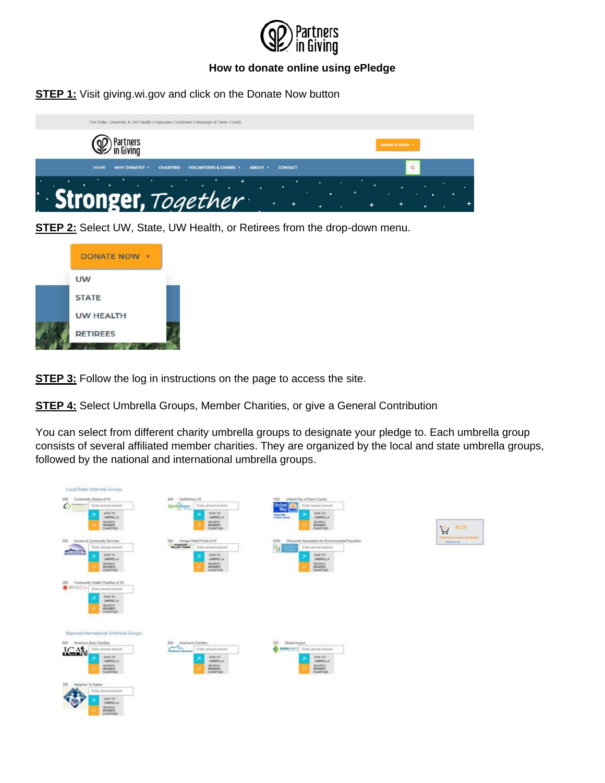

**STEP 1:** Visit giving.wi.gov and click on the Donate Now button



**STEP 2:** Select UW, State, UW Health, or Retirees from the drop-down menu.



**STEP 3:** Follow the log in instructions on the page to access the site.

**STEP 4:** Select Umbrella Groups, Member Charities, or give a General Contribution

You can select from different charity umbrella groups to designate your pledge to. Each umbrella group consists of several affiliated member charities. They are organized by the local and state umbrella groups, followed by the national and international umbrella groups.

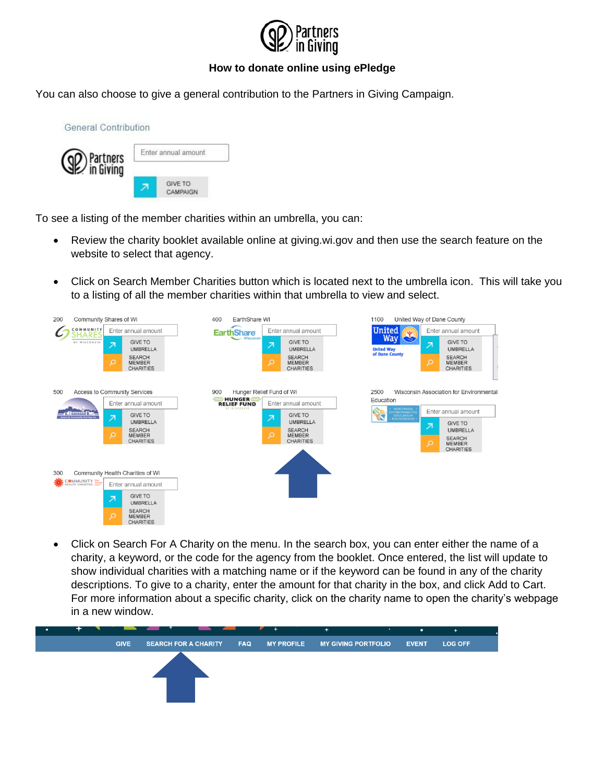

You can also choose to give a general contribution to the Partners in Giving Campaign.



To see a listing of the member charities within an umbrella, you can:

- Review the charity booklet available online at giving.wi.gov and then use the search feature on the website to select that agency.
- Click on Search Member Charities button which is located next to the umbrella icon. This will take you to a listing of all the member charities within that umbrella to view and select.



• Click on Search For A Charity on the menu. In the search box, you can enter either the name of a charity, a keyword, or the code for the agency from the booklet. Once entered, the list will update to show individual charities with a matching name or if the keyword can be found in any of the charity descriptions. To give to a charity, enter the amount for that charity in the box, and click Add to Cart. For more information about a specific charity, click on the charity name to open the charity's webpage in a new window.

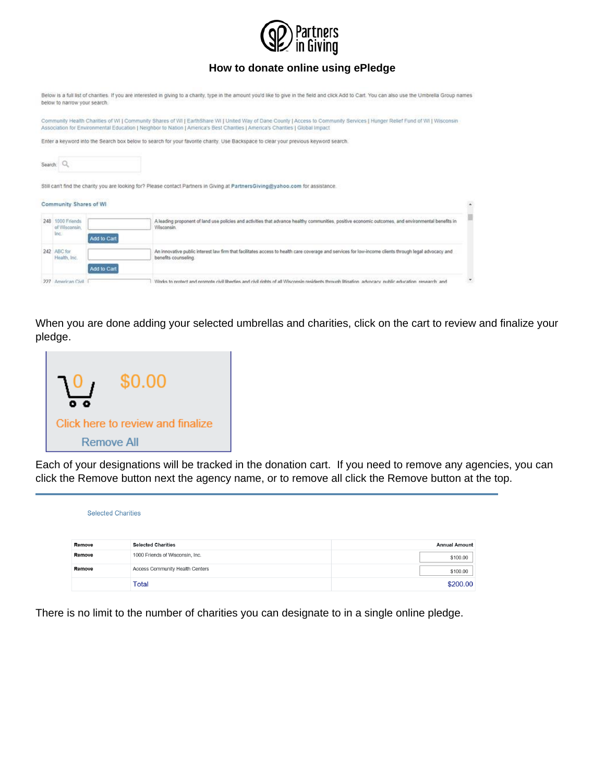

|         | below to narrow your search.              |             | Below is a full list of charities. If you are interested in giving to a charity, type in the amount you'd like to give in the field and click Add to Cart. You can also use the Umbrella Group names                                                                                                         |  |
|---------|-------------------------------------------|-------------|--------------------------------------------------------------------------------------------------------------------------------------------------------------------------------------------------------------------------------------------------------------------------------------------------------------|--|
|         |                                           |             | Community Health Charities of WI   Community Shares of WI   EarthShare WI   United Way of Dane County   Access to Community Services   Hunger Relief Fund of WI   Wisconsin<br>Association for Environmental Education   Neighbor to Nation   America's Best Charities   America's Charities   Global Impact |  |
|         |                                           |             | Enter a keyword into the Search box below to search for your favorite charity. Use Backspace to clear your previous keyword search.                                                                                                                                                                          |  |
| Search: |                                           |             |                                                                                                                                                                                                                                                                                                              |  |
|         |                                           |             | Still can't find the charity you are looking for? Please contact Partners in Giving at PartnersGiving@yahoo.com for assistance.                                                                                                                                                                              |  |
|         | Community Shares of WI                    |             |                                                                                                                                                                                                                                                                                                              |  |
|         | 248 1000 Friends<br>of Wisconsin.<br>inc. | Add to Cart | A leading proponent of land use policies and activities that advance healthy communities, positive economic outcomes, and environmental benefits in<br>Wisconsin.                                                                                                                                            |  |
|         | 242 ABC for<br>Health, Inc.               |             | An innovative public interest law firm that facilitates access to health care coverage and services for low-income clients through legal advocacy and<br>benefits counseling.                                                                                                                                |  |
|         | 227 American Civil                        | Add to Cart | Works to protect and promote civil liberties and civil rights of all Wisconsin residents through litination advocacy public education research and                                                                                                                                                           |  |

When you are done adding your selected umbrellas and charities, click on the cart to review and finalize your pledge.



Each of your designations will be tracked in the donation cart. If you need to remove any agencies, you can click the Remove button next the agency name, or to remove all click the Remove button at the top.

| <b>Selected Charities</b> |                                 |                      |  |  |  |  |
|---------------------------|---------------------------------|----------------------|--|--|--|--|
| Remove                    | <b>Selected Charities</b>       | <b>Annual Amount</b> |  |  |  |  |
| Remove                    | 1000 Friends of Wisconsin, Inc. | \$100.00             |  |  |  |  |
| Remove                    | Access Community Health Centers | \$100.00             |  |  |  |  |
|                           | <b>Total</b>                    | \$200.00             |  |  |  |  |

There is no limit to the number of charities you can designate to in a single online pledge.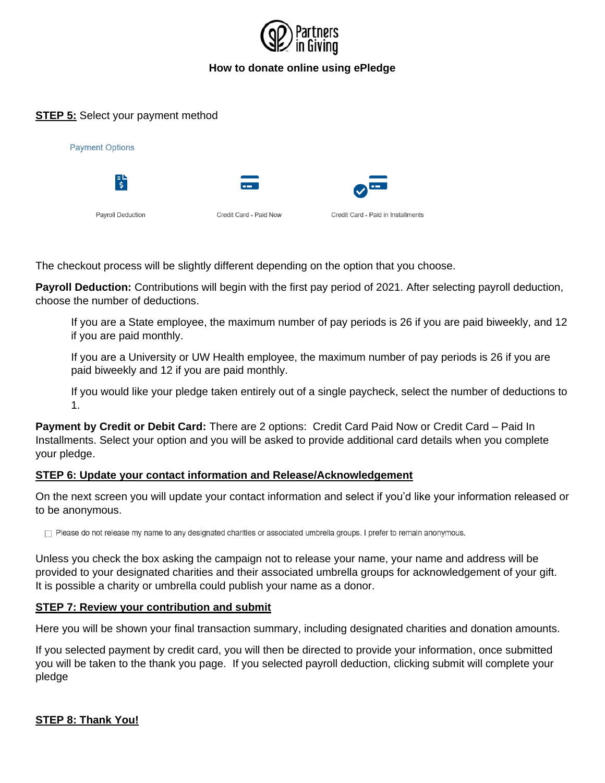

## **STEP 5:** Select your payment method

| <b>Payment Options</b> |                        |                                    |  |  |  |  |
|------------------------|------------------------|------------------------------------|--|--|--|--|
| 計                      | --                     | <b>Service</b><br>$\bullet$        |  |  |  |  |
| Payroll Deduction      | Credit Card - Paid Now | Credit Card - Paid in Installments |  |  |  |  |

The checkout process will be slightly different depending on the option that you choose.

**Payroll Deduction:** Contributions will begin with the first pay period of 2021. After selecting payroll deduction, choose the number of deductions.

If you are a State employee, the maximum number of pay periods is 26 if you are paid biweekly, and 12 if you are paid monthly.

If you are a University or UW Health employee, the maximum number of pay periods is 26 if you are paid biweekly and 12 if you are paid monthly.

If you would like your pledge taken entirely out of a single paycheck, select the number of deductions to 1.

**Payment by Credit or Debit Card:** There are 2 options: Credit Card Paid Now or Credit Card – Paid In Installments. Select your option and you will be asked to provide additional card details when you complete your pledge.

#### **STEP 6: Update your contact information and Release/Acknowledgement**

On the next screen you will update your contact information and select if you'd like your information released or to be anonymous.

□ Please do not release my name to any designated charities or associated umbrella groups. I prefer to remain anonymous.

Unless you check the box asking the campaign not to release your name, your name and address will be provided to your designated charities and their associated umbrella groups for acknowledgement of your gift. It is possible a charity or umbrella could publish your name as a donor.

#### **STEP 7: Review your contribution and submit**

Here you will be shown your final transaction summary, including designated charities and donation amounts.

If you selected payment by credit card, you will then be directed to provide your information, once submitted you will be taken to the thank you page. If you selected payroll deduction, clicking submit will complete your pledge

**STEP 8: Thank You!**